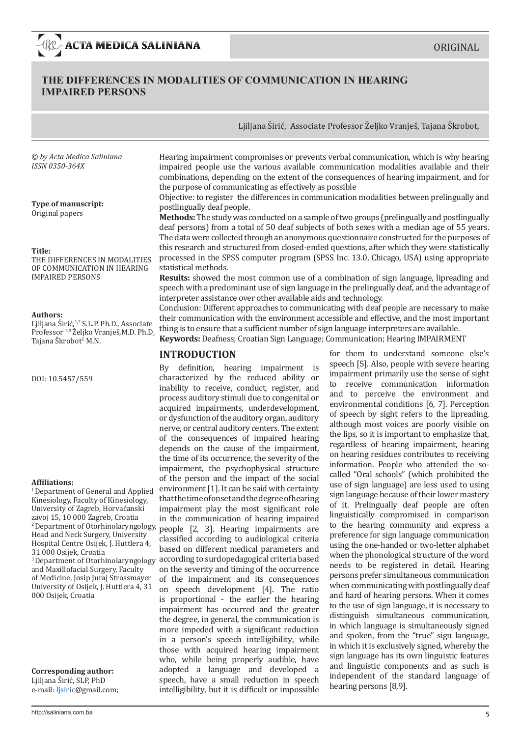# **THE DIFFERENCES IN MODALITIES OF COMMUNICATION IN HEARING IMPAIRED PERSONS**

© *by Acta Medica Saliniana ISSN 0350-364X*

**Type of manuscript:**  Original papers

### **Title:**

THE DIFFERENCES IN MODALITIES OF COMMUNICATION IN HEARING IMPAIRED PERSONS

#### **Authors:**

Ljiljana Širić,1,2 S.L.P. Ph.D., Associate Professor 2,3 Željko Vranješ,M.D. Ph.D, Tajana Skrobot<sup>2</sup> M.N.

DOI: 10.5457/559

#### **Affiliations:**

<sup>1</sup> Department of General and Applied Kinesiology, Faculty of Kinesiology, University of Zagreb, Horvaćanski zavoj 15, 10 000 Zagreb, Croatia <sup>2</sup>Department of Otorhinolaryngology, Head and Neck Surgery, University Hospital Centre Osijek, J. Huttlera 4, 31 000 Osijek, Croatia 3 Department of Otorhinolaryngology and Maxillofacial Surgery, Faculty

of Medicine, Josip Juraj Strossmayer University of Osijek, J. Huttlera 4, 31 000 Osijek, Croatia

**Corresponding author:**  Ljiljana Širić, SLP, PhD e-mail: ljsiric@gmail.com; Hearing impairment compromises or prevents verbal communication, which is why hearing impaired people use the various available communication modalities available and their combinations, depending on the extent of the consequences of hearing impairment, and for the purpose of communicating as effectively as possible

Ljiljana Širić, Associate Professor Željko Vranješ, Tajana Škrobot,

Objective: to register the differences in communication modalities between prelingually and postlingually deaf people.

**Methods:** The study was conducted on a sample of two groups (prelingually and postlingually deaf persons) from a total of 50 deaf subjects of both sexes with a median age of 55 years. The data were collected through an anonymous questionnaire constructed for the purposes of this research and structured from closed-ended questions, after which they were statistically processed in the SPSS computer program (SPSS Inc. 13.0, Chicago, USA) using appropriate statistical methods.

**Results:** showed the most common use of a combination of sign language, lipreading and speech with a predominant use of sign language in the prelingually deaf, and the advantage of interpreter assistance over other available aids and technology.

Conclusion: Different approaches to communicating with deaf people are necessary to make their communication with the environment accessible and effective, and the most important thing is to ensure that a sufficient number of sign language interpreters are available.

### **Keywords:** Deafness; Croatian Sign Language; Communication; Hearing IMPAIRMENT

### **INTRODUCTION**

By definition, hearing impairment is characterized by the reduced ability or inability to receive, conduct, register, and process auditory stimuli due to congenital or acquired impairments, underdevelopment, or dysfunction of the auditory organ, auditory nerve, or central auditory centers. The extent of the consequences of impaired hearing depends on the cause of the impairment, the time of its occurrence, the severity of the impairment, the psychophysical structure of the person and the impact of the social environment [1]. It can be said with certainty that the time of onset and the degree of hearing impairment play the most significant role in the communication of hearing impaired people [2, 3]. Hearing impairments are classified according to audiological criteria based on different medical parameters and according to surdopedagogical criteria based on the severity and timing of the occurrence of the impairment and its consequences on speech development [4]. The ratio is proportional - the earlier the hearing impairment has occurred and the greater the degree, in general, the communication is more impeded with a significant reduction in a person's speech intelligibility, while those with acquired hearing impairment who, while being properly audible, have adopted a language and developed a speech, have a small reduction in speech intelligibility, but it is difficult or impossible

for them to understand someone else's speech [5]. Also, people with severe hearing impairment primarily use the sense of sight to receive communication information and to perceive the environment and environmental conditions [6, 7]. Perception of speech by sight refers to the lipreading, although most voices are poorly visible on the lips, so it is important to emphasize that, regardless of hearing impairment, hearing on hearing residues contributes to receiving information. People who attended the socalled "Oral schools" (which prohibited the use of sign language) are less used to using sign language because of their lower mastery of it. Prelingually deaf people are often linguistically compromised in comparison to the hearing community and express a preference for sign language communication using the one-handed or two-letter alphabet when the phonological structure of the word needs to be registered in detail. Hearing persons prefer simultaneous communication when communicating with postlingually deaf and hard of hearing persons. When it comes to the use of sign language, it is necessary to distinguish simultaneous communication, in which language is simultaneously signed and spoken, from the "true" sign language, in which it is exclusively signed, whereby the sign language has its own linguistic features and linguistic components and as such is independent of the standard language of hearing persons [8,9].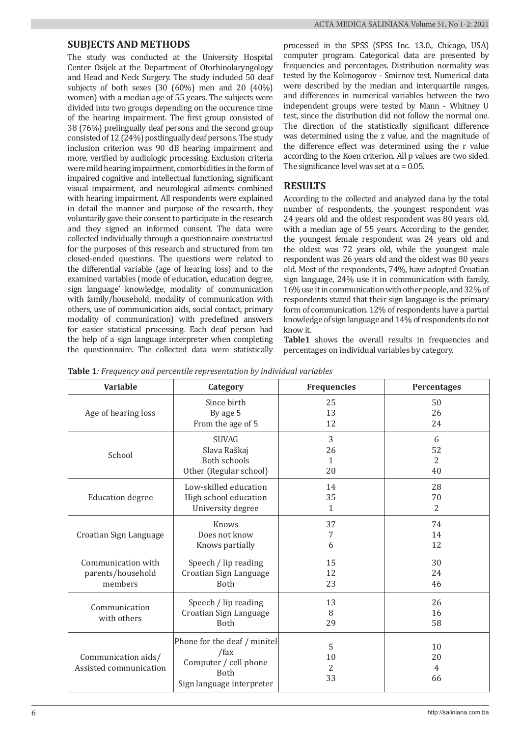### **SUBJECTS AND METHODS**

The study was conducted at the University Hospital Center Osijek at the Department of Otorhinolaryngology and Head and Neck Surgery. The study included 50 deaf subjects of both sexes (30 (60%) men and 20 (40%) women) with a median age of 55 years. The subjects were divided into two groups depending on the occurence time of the hearing impairment. The first group consisted of 38 (76%) prelingually deaf persons and the second group consisted of 12 (24%) postlingually deaf persons. The study inclusion criterion was 90 dB hearing impairment and more, verified by audiologic processing. Exclusion criteria were mild hearing impairment, comorbidities in the form of impaired cognitive and intellectual functioning, significant visual impairment, and neurological ailments combined with hearing impairment. All respondents were explained in detail the manner and purpose of the research, they voluntarily gave their consent to participate in the research and they signed an informed consent. The data were collected individually through a questionnaire constructed for the purposes of this research and structured from ten closed-ended questions. The questions were related to the differential variable (age of hearing loss) and to the examined variables (mode of education, education degree, sign language' knowledge, modality of communication with family/household, modality of communication with others, use of communication aids, social contact, primary modality of communication) with predefined answers for easier statistical processing. Each deaf person had the help of a sign language interpreter when completing the questionnaire. The collected data were statistically

processed in the SPSS (SPSS Inc. 13.0., Chicago, USA) computer program. Categorical data are presented by frequencies and percentages. Distribution normality was tested by the Kolmogorov - Smirnov test. Numerical data were described by the median and interquartile ranges, and differences in numerical variables between the two independent groups were tested by Mann - Whitney U test, since the distribution did not follow the normal one. The direction of the statistically significant difference was determined using the z value, and the magnitude of the difference effect was determined using the r value according to the Koen criterion. All p values are two sided. The significance level was set at  $\alpha$  = 0.05.

# **RESULTS**

According to the collected and analyzed dana by the total number of respondents, the youngest respondent was 24 years old and the oldest respondent was 80 years old, with a median age of 55 years. According to the gender, the youngest female respondent was 24 years old and the oldest was 72 years old, while the youngest male respondent was 26 years old and the oldest was 80 years old. Most of the respondents, 74%, have adopted Croatian sign language, 24% use it in communication with family, 16% use it in communication with other people, and 32% of respondents stated that their sign language is the primary form of communication. 12% of respondents have a partial knowledge of sign language and 14% of respondents do not know it.

Table1 shows the overall results in frequencies and percentages on individual variables by category.

|  | Table 1: Frequency and percentile representation by individual variables |  |
|--|--------------------------------------------------------------------------|--|
|--|--------------------------------------------------------------------------|--|

| <b>Variable</b>                               | Category                                                                                                  | <b>Frequencies</b>              | Percentages         |
|-----------------------------------------------|-----------------------------------------------------------------------------------------------------------|---------------------------------|---------------------|
| Age of hearing loss                           | Since birth                                                                                               | 25                              | 50                  |
|                                               | By age 5                                                                                                  | 13                              | 26                  |
|                                               | From the age of 5                                                                                         | 12                              | 24                  |
| School                                        | <b>SUVAG</b>                                                                                              | 3                               | 6                   |
|                                               | Slava Raškaj                                                                                              | 26                              | 52                  |
|                                               | Both schools                                                                                              | $\mathbf{1}$                    | $\overline{2}$      |
|                                               | Other (Regular school)                                                                                    | 20                              | 40                  |
| <b>Education degree</b>                       | Low-skilled education                                                                                     | 14                              | 28                  |
|                                               | High school education                                                                                     | 35                              | 70                  |
|                                               | University degree                                                                                         | $\mathbf{1}$                    | $\overline{2}$      |
| Croatian Sign Language                        | Knows                                                                                                     | 37                              | 74                  |
|                                               | Does not know                                                                                             | 7                               | 14                  |
|                                               | Knows partially                                                                                           | 6                               | 12                  |
| Communication with                            | Speech / lip reading                                                                                      | 15                              | 30                  |
| parents/household                             | Croatian Sign Language                                                                                    | 12                              | 24                  |
| members                                       | <b>Both</b>                                                                                               | 23                              | 46                  |
| Communication<br>with others                  | Speech / lip reading<br>Croatian Sign Language<br><b>Both</b>                                             | 13<br>8<br>29                   | 26<br>16<br>58      |
| Communication aids/<br>Assisted communication | Phone for the deaf / minitel<br>/fax<br>Computer / cell phone<br><b>Both</b><br>Sign language interpreter | 5<br>10<br>$\overline{2}$<br>33 | 10<br>20<br>4<br>66 |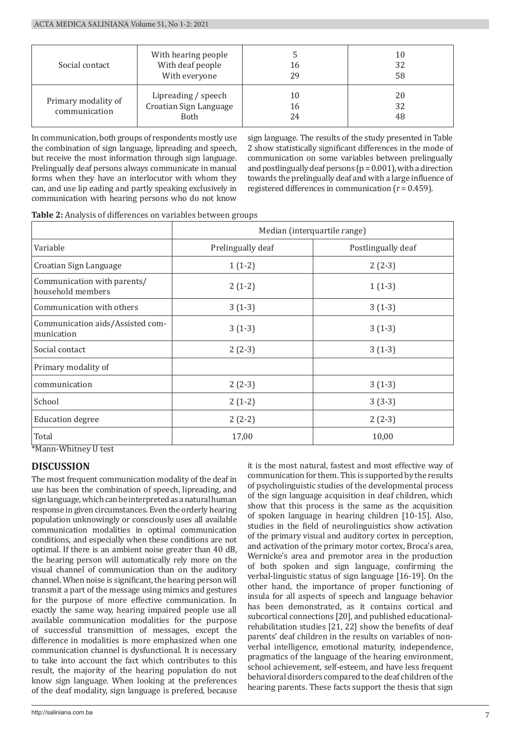| Social contact                       | With hearing people<br>With deaf people<br>With everyone | 16<br>29       | 10<br>32<br>58 |
|--------------------------------------|----------------------------------------------------------|----------------|----------------|
| Primary modality of<br>communication | Lipreading / speech<br>Croatian Sign Language<br>Both    | 10<br>16<br>24 | 20<br>32<br>48 |

In communication, both groups of respondents mostly use the combination of sign language, lipreading and speech, but receive the most information through sign language. Prelingually deaf persons always communicate in manual forms when they have an interlocutor with whom they can, and use lip eading and partly speaking exclusively in communication with hearing persons who do not know

sign language. The results of the study presented in Table 2 show statistically significant differences in the mode of communication on some variables between prelingually and postlingually deaf persons  $(p = 0.001)$ , with a direction towards the prelingually deaf and with a large influence of registered differences in communication (r = 0.459).

| Table 2: Analysis of differences on variables between groups |
|--------------------------------------------------------------|
|--------------------------------------------------------------|

|                                                  | Median (interquartile range) |                    |  |
|--------------------------------------------------|------------------------------|--------------------|--|
| Variable                                         | Prelingually deaf            | Postlingually deaf |  |
| Croatian Sign Language                           | $1(1-2)$                     | $2(2-3)$           |  |
| Communication with parents/<br>household members | $2(1-2)$                     | $1(1-3)$           |  |
| Communication with others                        | $3(1-3)$                     | $3(1-3)$           |  |
| Communication aids/Assisted com-<br>munication   | $3(1-3)$                     | $3(1-3)$           |  |
| Social contact                                   | $2(2-3)$                     | $3(1-3)$           |  |
| Primary modality of                              |                              |                    |  |
| communication                                    | $2(2-3)$                     | $3(1-3)$           |  |
| School                                           | $2(1-2)$                     | $3(3-3)$           |  |
| <b>Education degree</b>                          | $2(2-2)$                     | $2(2-3)$           |  |
| Total                                            | 17,00                        | 10,00              |  |

\*Mann-Whitney U test

# **DISCUSSION**

The most frequent communication modality of the deaf in use has been the combination of speech, lipreading, and sign language, which can be interpreted as a natural human response in given circumstances. Even the orderly hearing population unknowingly or consciously uses all available communication modalities in optimal communication conditions, and especially when these conditions are not optimal. If there is an ambient noise greater than 40 dB, the hearing person will automatically rely more on the visual channel of communication than on the auditory channel. When noise is significant, the hearing person will transmit a part of the message using mimics and gestures for the purpose of more effective communication. In exactly the same way, hearing impaired people use all available communication modalities for the purpose of successful transmittion of messages, except the difference in modalities is more emphasized when one communication channel is dysfunctional. It is necessary to take into account the fact which contributes to this result, the majority of the hearing population do not know sign language. When looking at the preferences of the deaf modality, sign language is prefered, because

it is the most natural, fastest and most effective way of communication for them. This is supported by the results of psycholinguistic studies of the developmental process of the sign language acquisition in deaf children, which show that this process is the same as the acquisition of spoken language in hearing children [10-15]. Also, studies in the field of neurolinguistics show activation of the primary visual and auditory cortex in perception, and activation of the primary motor cortex, Broca's area, Wernicke's area and premotor area in the production of both spoken and sign language, confirming the verbal-linguistic status of sign language [16-19]. On the other hand, the importance of proper functioning of insula for all aspects of speech and language behavior has been demonstrated, as it contains cortical and subcortical connections [20], and published educationalrehabilitation studies [21, 22] show the benefits of deaf parents' deaf children in the results on variables of nonverbal intelligence, emotional maturity, independence, pragmatics of the language of the hearing environment, school achievement, self-esteem, and have less frequent behavioral disorders compared to the deaf children of the hearing parents. These facts support the thesis that sign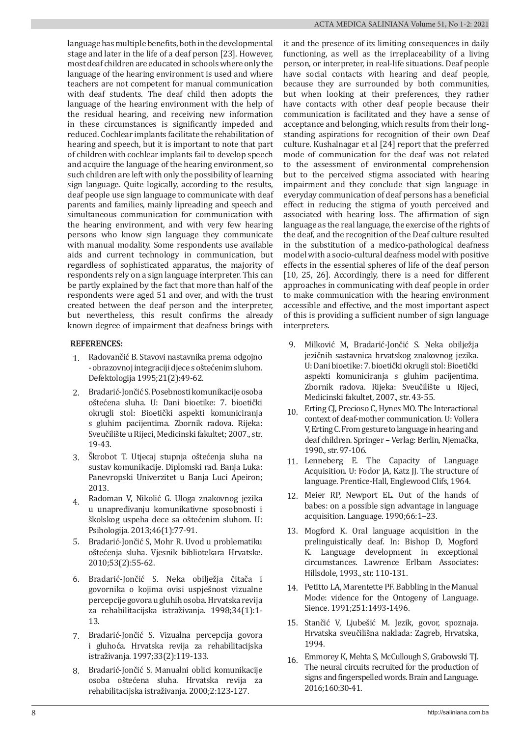language has multiple benefits, both in the developmental stage and later in the life of a deaf person [23]. However, most deaf children are educated in schools where only the language of the hearing environment is used and where teachers are not competent for manual communication with deaf students. The deaf child then adopts the language of the hearing environment with the help of the residual hearing, and receiving new information in these circumstances is significantly impeded and reduced. Cochlear implants facilitate the rehabilitation of hearing and speech, but it is important to note that part of children with cochlear implants fail to develop speech and acquire the language of the hearing environment, so such children are left with only the possibility of learning sign language. Quite logically, according to the results, deaf people use sign language to communicate with deaf parents and families, mainly lipreading and speech and simultaneous communication for communication with the hearing environment, and with very few hearing persons who know sign language they communicate with manual modality. Some respondents use available aids and current technology in communication, but regardless of sophisticated apparatus, the majority of respondents rely on a sign language interpreter. This can be partly explained by the fact that more than half of the respondents were aged 51 and over, and with the trust created between the deaf person and the interpreter, but nevertheless, this result confirms the already known degree of impairment that deafness brings with

### **REFERENCES:**

- 1. Radovančić B. Stavovi nastavnika prema odgojno - obrazovnoj integraciji djece s oštećenim sluhom. Defektologija 1995;21(2):49-62.
- 2. Bradarić-Jončić S. Posebnosti komunikacije osoba oštećena sluha. U: Dani bioetike: 7. bioetički okrugli stol: Bioetički aspekti komuniciranja s gluhim pacijentima. Zbornik radova. Rijeka: Sveučilište u Rijeci, Medicinski fakultet; 2007., str. 19-43.
- 3. Škrobot T. Utjecaj stupnja oštećenja sluha na sustav komunikacije. Diplomski rad. Banja Luka: Panevropski Univerzitet u Banja Luci Apeiron; 2013.
- 4. Radoman V, Nikolić G. Uloga znakovnog jezika u unapređivanju komunikativne sposobnosti i školskog uspeha dece sa oštećenim sluhom. U: Psihologija. 2013;46(1):77-91.
- 5. Bradarić-Jončić S, Mohr R. Uvod u problematiku oštećenja sluha. Vjesnik bibliotekara Hrvatske. 2010;53(2):55-62.
- 6. Bradarić-Jončić S. Neka obilježja čitača i govornika o kojima ovisi uspješnost vizualne percepcije govora u gluhih osoba. Hrvatska revija za rehabilitacijska istraživanja. 1998;34(1):1- 13.
- 7. Bradarić-Jončić S. Vizualna percepcija govora i gluhoća. Hrvatska revija za rehabilitacijska istraživanja. 1997;33(2):119-133.
- 8. Bradarić-Jončić S. Manualni oblici komunikacije osoba oštećena sluha. Hrvatska revija za rehabilitacijska istraživanja. 2000;2:123-127.

it and the presence of its limiting consequences in daily functioning, as well as the irreplaceability of a living person, or interpreter, in real-life situations. Deaf people have social contacts with hearing and deaf people. because they are surrounded by both communities, but when looking at their preferences, they rather have contacts with other deaf people because their communication is facilitated and they have a sense of acceptance and belonging, which results from their longstanding aspirations for recognition of their own Deaf culture. Kushalnagar et al [24] report that the preferred mode of communication for the deaf was not related to the assessment of environmental comprehension but to the perceived stigma associated with hearing impairment and they conclude that sign language in everyday communication of deaf persons has a beneficial effect in reducing the stigma of youth perceived and associated with hearing loss. The affirmation of sign language as the real language, the exercise of the rights of the deaf, and the recognition of the Deaf culture resulted in the substitution of a medico-pathological deafness model with a socio-cultural deafness model with positive effects in the essential spheres of life of the deaf person [10, 25, 26]. Accordingly, there is a need for different approaches in communicating with deaf people in order to make communication with the hearing environment accessible and effective, and the most important aspect of this is providing a sufficient number of sign language interpreters.

- 9. Milković M, Bradarić-Jončić S. Neka obilježja jezičnih sastavnica hrvatskog znakovnog jezika. U: Dani bioetike: 7. bioetički okrugli stol: Bioetički aspekti komuniciranja s gluhim pacijentima. Zbornik radova. Rijeka: Sveučilište u Rijeci, Medicinski fakultet, 2007., str. 43-55.
- 10 Erting CJ, Precioso C, Hynes MO. The Interactional context of deaf-mother communication. U: Vollera V, Erting C. From gesture to language in hearing and deaf children. Springer – Verlag: Berlin, Njemačka, 1990., str. 97-106.
- 11. Lenneberg E. The Capacity of Language Acquisition. U: Fodor JA, Katz JJ. The structure of language. Prentice-Hall, Englewood Clifs, 1964.
- 12. Meier RP, Newport EL. Out of the hands of babes: on a possible sign advantage in language acquisition. Language. 1990;66:1–23.
- 13. Mogford K. Oral language acquisition in the prelinguistically deaf. In: Bishop D, Mogford K. Language development in exceptional circumstances. Lawrence Erlbam Associates: Hillsdole, 1993., str. 110-131.
- 14. Petitto LA, Marentette PF. Babbling in the Manual Mode: vidence for the Ontogeny of Language. Sience. 1991;251:1493-1496.
- 15. Stančić V, Ljubešić M. Jezik, govor, spoznaja. Hrvatska sveučilišna naklada: Zagreb, Hrvatska, 1994.
- 16. Emmorey K, Mehta S, McCullough S, Grabowski TJ. The neural circuits recruited for the production of signs and fingerspelled words. Brain and Language. 2016;160:30-41.